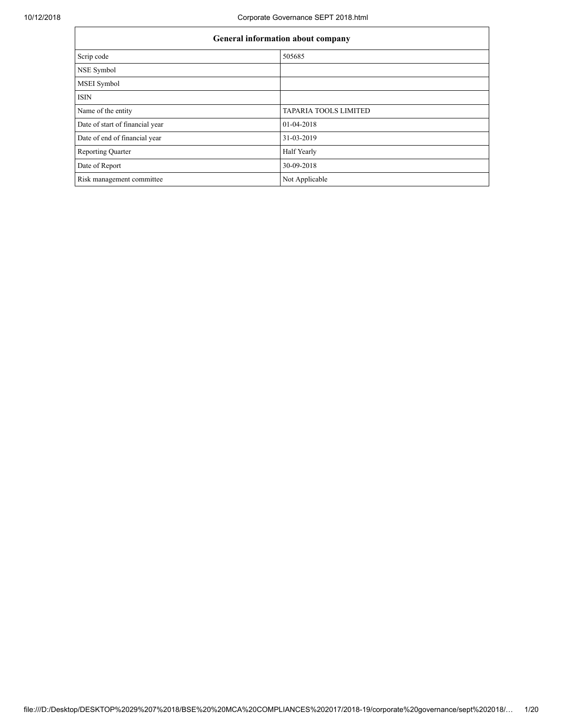٦

| General information about company |                              |  |  |  |  |  |
|-----------------------------------|------------------------------|--|--|--|--|--|
| Scrip code                        | 505685                       |  |  |  |  |  |
| NSE Symbol                        |                              |  |  |  |  |  |
| MSEI Symbol                       |                              |  |  |  |  |  |
| <b>ISIN</b>                       |                              |  |  |  |  |  |
| Name of the entity                | <b>TAPARIA TOOLS LIMITED</b> |  |  |  |  |  |
| Date of start of financial year   | 01-04-2018                   |  |  |  |  |  |
| Date of end of financial year     | 31-03-2019                   |  |  |  |  |  |
| <b>Reporting Quarter</b>          | <b>Half Yearly</b>           |  |  |  |  |  |
| Date of Report                    | 30-09-2018                   |  |  |  |  |  |
| Risk management committee         | Not Applicable               |  |  |  |  |  |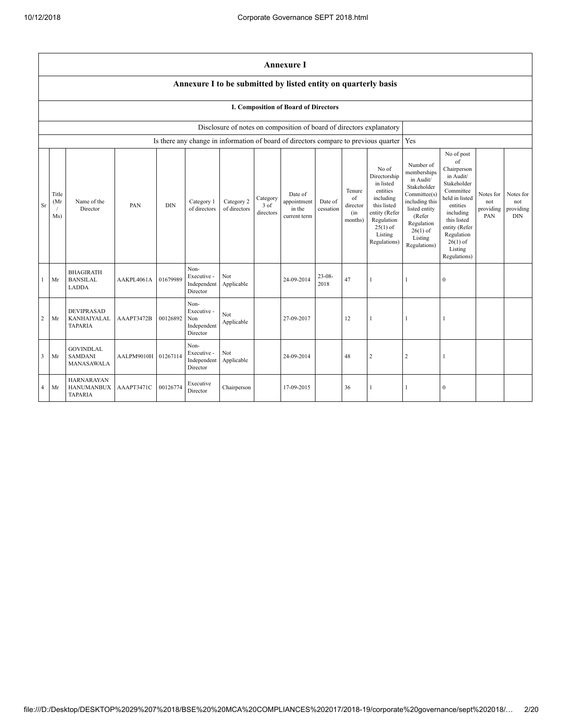|    |                                                                |                                                          |                     |            |                                                       |                            |                               | <b>Annexure I</b>                                                    |                      |                                            |                                                                                                                                                    |                                                                                                                                                                          |                                                                                                                                                                                                            |                                      |                                             |
|----|----------------------------------------------------------------|----------------------------------------------------------|---------------------|------------|-------------------------------------------------------|----------------------------|-------------------------------|----------------------------------------------------------------------|----------------------|--------------------------------------------|----------------------------------------------------------------------------------------------------------------------------------------------------|--------------------------------------------------------------------------------------------------------------------------------------------------------------------------|------------------------------------------------------------------------------------------------------------------------------------------------------------------------------------------------------------|--------------------------------------|---------------------------------------------|
|    | Annexure I to be submitted by listed entity on quarterly basis |                                                          |                     |            |                                                       |                            |                               |                                                                      |                      |                                            |                                                                                                                                                    |                                                                                                                                                                          |                                                                                                                                                                                                            |                                      |                                             |
|    | I. Composition of Board of Directors                           |                                                          |                     |            |                                                       |                            |                               |                                                                      |                      |                                            |                                                                                                                                                    |                                                                                                                                                                          |                                                                                                                                                                                                            |                                      |                                             |
|    |                                                                |                                                          |                     |            |                                                       |                            |                               | Disclosure of notes on composition of board of directors explanatory |                      |                                            |                                                                                                                                                    |                                                                                                                                                                          |                                                                                                                                                                                                            |                                      |                                             |
|    |                                                                |                                                          |                     |            |                                                       |                            |                               |                                                                      |                      |                                            | Is there any change in information of board of directors compare to previous quarter                                                               | Yes                                                                                                                                                                      |                                                                                                                                                                                                            |                                      |                                             |
| Sr | Title<br>(Mr<br>Ms)                                            | Name of the<br>Director                                  | PAN                 | <b>DIN</b> | Category 1<br>of directors                            | Category 2<br>of directors | Category<br>3 of<br>directors | Date of<br>appointment<br>in the<br>current term                     | Date of<br>cessation | Tenure<br>of<br>director<br>(in<br>months) | No of<br>Directorship<br>in listed<br>entities<br>including<br>this listed<br>entity (Refer<br>Regulation<br>$25(1)$ of<br>Listing<br>Regulations) | Number of<br>memberships<br>in Audit/<br>Stakeholder<br>Committee(s)<br>including this<br>listed entity<br>(Refer<br>Regulation<br>$26(1)$ of<br>Listing<br>Regulations) | No of post<br>of<br>Chairperson<br>in Audit/<br>Stakeholder<br>Committee<br>held in listed<br>entities<br>including<br>this listed<br>entity (Refer<br>Regulation<br>$26(1)$ of<br>Listing<br>Regulations) | Notes for<br>not<br>providing<br>PAN | Notes for<br>not<br>providing<br><b>DIN</b> |
|    | Mr                                                             | <b>BHAGIRATH</b><br><b>BANSILAL</b><br>LADDA             | AAKPL4061A          | 01679989   | Non-<br>Executive -<br>Independent<br>Director        | Not<br>Applicable          |                               | 24-09-2014                                                           | $23 - 08 -$<br>2018  | 47                                         |                                                                                                                                                    |                                                                                                                                                                          | $\boldsymbol{0}$                                                                                                                                                                                           |                                      |                                             |
| 2  | Mr                                                             | <b>DEVIPRASAD</b><br>KANHAIYALAL<br><b>TAPARIA</b>       | AAAPT3472B          | 00126892   | Non-<br>Executive -<br>Non<br>Independent<br>Director | Not<br>Applicable          |                               | 27-09-2017                                                           |                      | 12                                         | 1                                                                                                                                                  |                                                                                                                                                                          | 1                                                                                                                                                                                                          |                                      |                                             |
| 3  | Mr                                                             | <b>GOVINDLAL</b><br><b>SAMDANI</b><br>MANASAWALA         | AALPM9010H 01267114 |            | Non-<br>Executive -<br>Independent<br>Director        | Not<br>Applicable          |                               | 24-09-2014                                                           |                      | 48                                         | $\overline{c}$                                                                                                                                     | $\overline{2}$                                                                                                                                                           | 1                                                                                                                                                                                                          |                                      |                                             |
| 4  | Mr                                                             | <b>HARNARAYAN</b><br><b>HANUMANBUX</b><br><b>TAPARIA</b> | AAAPT3471C          | 00126774   | Executive<br>Director                                 | Chairperson                |                               | 17-09-2015                                                           |                      | 36                                         | 1                                                                                                                                                  | 1                                                                                                                                                                        | 0                                                                                                                                                                                                          |                                      |                                             |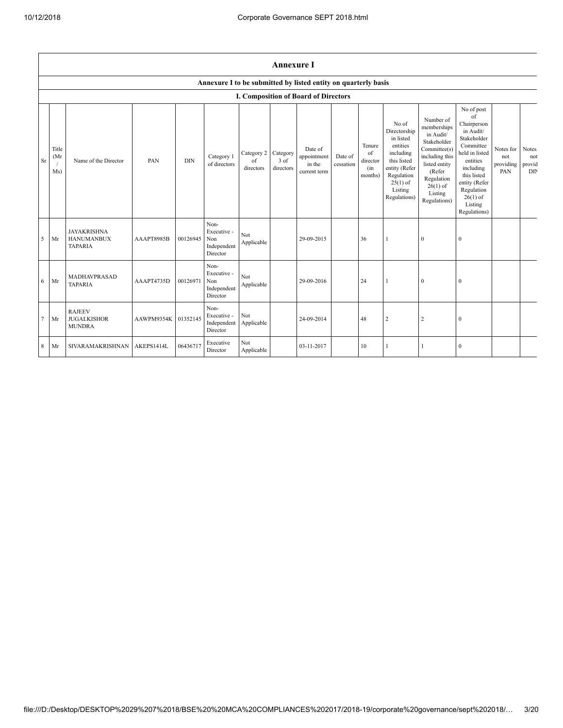$\mathbf{r}$ 

|                 | <b>Annexure I</b>                                                                                             |                                                           |                     |            |                                                       |                               |                               |                                                  |                      |                                            |                                                                                                                                                    |                                                                                                                                                                          |                                                                                                                                                                                                            |                                      |                               |
|-----------------|---------------------------------------------------------------------------------------------------------------|-----------------------------------------------------------|---------------------|------------|-------------------------------------------------------|-------------------------------|-------------------------------|--------------------------------------------------|----------------------|--------------------------------------------|----------------------------------------------------------------------------------------------------------------------------------------------------|--------------------------------------------------------------------------------------------------------------------------------------------------------------------------|------------------------------------------------------------------------------------------------------------------------------------------------------------------------------------------------------------|--------------------------------------|-------------------------------|
|                 | Annexure I to be submitted by listed entity on quarterly basis<br><b>I. Composition of Board of Directors</b> |                                                           |                     |            |                                                       |                               |                               |                                                  |                      |                                            |                                                                                                                                                    |                                                                                                                                                                          |                                                                                                                                                                                                            |                                      |                               |
|                 |                                                                                                               |                                                           |                     |            |                                                       |                               |                               |                                                  |                      |                                            |                                                                                                                                                    |                                                                                                                                                                          |                                                                                                                                                                                                            |                                      |                               |
| Sr              | Title<br>(Mr)<br>Ms)                                                                                          | Name of the Director                                      | <b>PAN</b>          | <b>DIN</b> | Category 1<br>of directors                            | Category 2<br>of<br>directors | Category<br>3 of<br>directors | Date of<br>appointment<br>in the<br>current term | Date of<br>cessation | Tenure<br>of<br>director<br>(in<br>months) | No of<br>Directorship<br>in listed<br>entities<br>including<br>this listed<br>entity (Refer<br>Regulation<br>$25(1)$ of<br>Listing<br>Regulations) | Number of<br>memberships<br>in Audit/<br>Stakeholder<br>Committee(s)<br>including this<br>listed entity<br>(Refer<br>Regulation<br>$26(1)$ of<br>Listing<br>Regulations) | No of post<br>of<br>Chairperson<br>in Audit/<br>Stakeholder<br>Committee<br>held in listed<br>entities<br>including<br>this listed<br>entity (Refer<br>Regulation<br>$26(1)$ of<br>Listing<br>Regulations) | Notes for<br>not<br>providing<br>PAN | Notes<br>not<br>provid<br>DIN |
| 5               | Mr                                                                                                            | <b>JAYAKRISHNA</b><br><b>HANUMANBUX</b><br><b>TAPARIA</b> | AAAPT8985B          | 00126945   | Non-<br>Executive -<br>Non<br>Independent<br>Director | Not<br>Applicable             |                               | 29-09-2015                                       |                      | 36                                         | $\mathbf{1}$                                                                                                                                       | $\overline{0}$                                                                                                                                                           | $\mathbf{0}$                                                                                                                                                                                               |                                      |                               |
| 6               | Mr                                                                                                            | MADHAVPRASAD<br><b>TAPARIA</b>                            | AAAPT4735D          | 00126971   | Non-<br>Executive -<br>Non<br>Independent<br>Director | Not<br>Applicable             |                               | 29-09-2016                                       |                      | 24                                         | $\mathbf{1}$                                                                                                                                       | 0                                                                                                                                                                        | $\boldsymbol{0}$                                                                                                                                                                                           |                                      |                               |
| $7\phantom{.0}$ | Mr                                                                                                            | <b>RAJEEV</b><br><b>JUGALKISHOR</b><br><b>MUNDRA</b>      | AAWPM9354K 01352145 |            | Non-<br>Executive -<br>Independent<br>Director        | Not<br>Applicable             |                               | 24-09-2014                                       |                      | 48                                         | $\sqrt{2}$                                                                                                                                         | 2                                                                                                                                                                        | $\mathbf{0}$                                                                                                                                                                                               |                                      |                               |
| $\,$ 8 $\,$     | Mr                                                                                                            | SIVARAMAKRISHNAN                                          | AKEPS1414L          | 06436717   | Executive<br>Director                                 | Not<br>Applicable             |                               | 03-11-2017                                       |                      | 10                                         | 1                                                                                                                                                  |                                                                                                                                                                          | $\Omega$                                                                                                                                                                                                   |                                      |                               |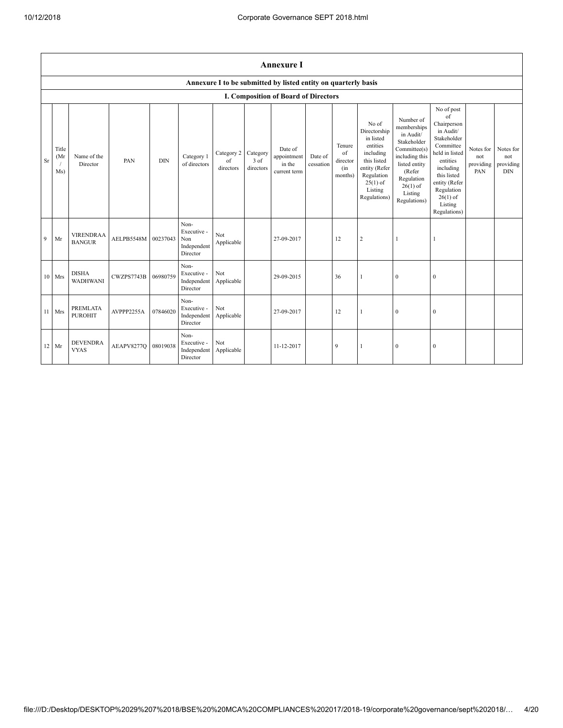|    | <b>Annexure I</b>   |                                   |            |            |                                                       |                               |                               |                                                                |                      |                                            |                                                                                                                                                    |                                                                                                                                                                          |                                                                                                                                                                                                            |                                      |                                             |
|----|---------------------|-----------------------------------|------------|------------|-------------------------------------------------------|-------------------------------|-------------------------------|----------------------------------------------------------------|----------------------|--------------------------------------------|----------------------------------------------------------------------------------------------------------------------------------------------------|--------------------------------------------------------------------------------------------------------------------------------------------------------------------------|------------------------------------------------------------------------------------------------------------------------------------------------------------------------------------------------------------|--------------------------------------|---------------------------------------------|
|    |                     |                                   |            |            |                                                       |                               |                               | Annexure I to be submitted by listed entity on quarterly basis |                      |                                            |                                                                                                                                                    |                                                                                                                                                                          |                                                                                                                                                                                                            |                                      |                                             |
|    |                     |                                   |            |            |                                                       |                               |                               | <b>I. Composition of Board of Directors</b>                    |                      |                                            |                                                                                                                                                    |                                                                                                                                                                          |                                                                                                                                                                                                            |                                      |                                             |
| Sr | Title<br>(Mr<br>Ms) | Name of the<br>Director           | PAN        | <b>DIN</b> | Category 1<br>of directors                            | Category 2<br>of<br>directors | Category<br>3 of<br>directors | Date of<br>appointment<br>in the<br>current term               | Date of<br>cessation | Tenure<br>of<br>director<br>(in<br>months) | No of<br>Directorship<br>in listed<br>entities<br>including<br>this listed<br>entity (Refer<br>Regulation<br>$25(1)$ of<br>Listing<br>Regulations) | Number of<br>memberships<br>in Audit/<br>Stakeholder<br>Committee(s)<br>including this<br>listed entity<br>(Refer<br>Regulation<br>$26(1)$ of<br>Listing<br>Regulations) | No of post<br>of<br>Chairperson<br>in Audit/<br>Stakeholder<br>Committee<br>held in listed<br>entities<br>including<br>this listed<br>entity (Refer<br>Regulation<br>$26(1)$ of<br>Listing<br>Regulations) | Notes for<br>not<br>providing<br>PAN | Notes for<br>not<br>providing<br><b>DIN</b> |
| 9  | Mr                  | <b>VIRENDRAA</b><br><b>BANGUR</b> | AELPB5548M | 00237043   | Non-<br>Executive -<br>Non<br>Independent<br>Director | Not<br>Applicable             |                               | 27-09-2017                                                     |                      | 12                                         | $\sqrt{2}$                                                                                                                                         | $\mathbf{1}$                                                                                                                                                             | 1                                                                                                                                                                                                          |                                      |                                             |
|    | 10 Mrs              | <b>DISHA</b><br><b>WADHWANI</b>   | CWZPS7743B | 06980759   | Non-<br>Executive -<br>Independent<br>Director        | Not<br>Applicable             |                               | 29-09-2015                                                     |                      | 36                                         | $\mathbf{1}$                                                                                                                                       | $\mathbf{0}$                                                                                                                                                             | $\boldsymbol{0}$                                                                                                                                                                                           |                                      |                                             |
| 11 | Mrs                 | <b>PREMLATA</b><br><b>PUROHIT</b> | AVPPP2255A | 07846020   | Non-<br>Executive -<br>Independent<br>Director        | Not<br>Applicable             |                               | 27-09-2017                                                     |                      | 12                                         | $\mathbf{1}$                                                                                                                                       | $\theta$                                                                                                                                                                 | $\mathbf{0}$                                                                                                                                                                                               |                                      |                                             |
|    | 12 Mr               | <b>DEVENDRA</b><br><b>VYAS</b>    | AEAPV8277Q | 08019038   | Non-<br>Executive -<br>Independent<br>Director        | Not<br>Applicable             |                               | 11-12-2017                                                     |                      | 9                                          | $\mathbf{1}$                                                                                                                                       | $\theta$                                                                                                                                                                 | $\mathbf{0}$                                                                                                                                                                                               |                                      |                                             |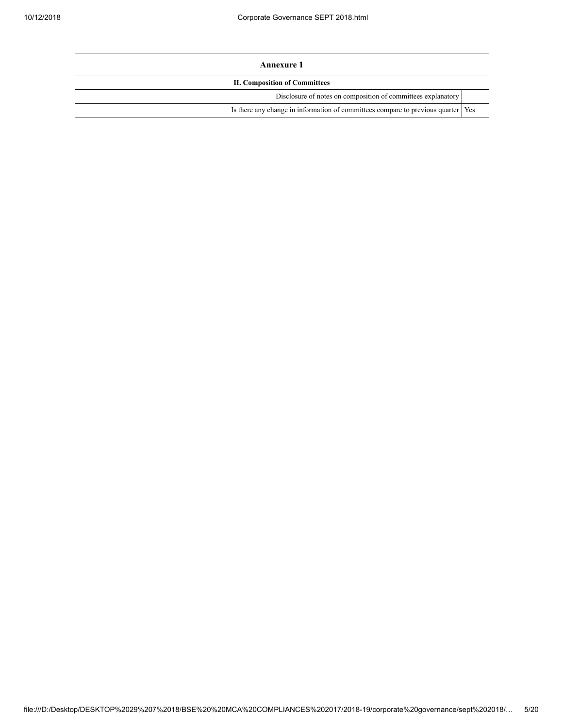| Annexure 1                                                                         |  |
|------------------------------------------------------------------------------------|--|
| <b>II. Composition of Committees</b>                                               |  |
| Disclosure of notes on composition of committees explanatory                       |  |
| Is there any change in information of committees compare to previous quarter   Yes |  |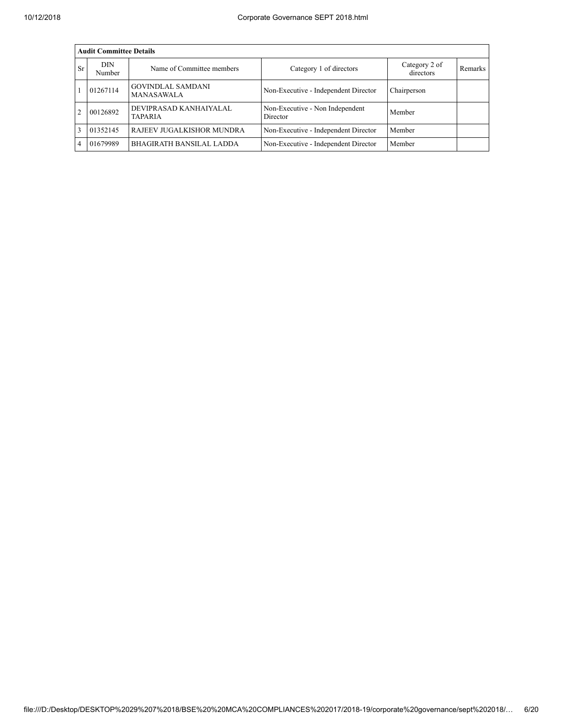|           | <b>Audit Committee Details</b> |                                          |                                             |                            |         |  |  |  |  |  |  |
|-----------|--------------------------------|------------------------------------------|---------------------------------------------|----------------------------|---------|--|--|--|--|--|--|
| <b>Sr</b> | DIN<br>Number                  | Name of Committee members                | Category 1 of directors                     | Category 2 of<br>directors | Remarks |  |  |  |  |  |  |
|           | 01267114                       | <b>GOVINDLAL SAMDANI</b><br>MANASAWALA   | Non-Executive - Independent Director        | Chairperson                |         |  |  |  |  |  |  |
|           | 00126892                       | DEVIPRASAD KANHAIYALAL<br><b>TAPARIA</b> | Non-Executive - Non Independent<br>Director | Member                     |         |  |  |  |  |  |  |
|           | 01352145                       | RAJEEV JUGALKISHOR MUNDRA                | Non-Executive - Independent Director        | Member                     |         |  |  |  |  |  |  |
|           | 01679989                       | <b>BHAGIRATH BANSILAL LADDA</b>          | Non-Executive - Independent Director        | Member                     |         |  |  |  |  |  |  |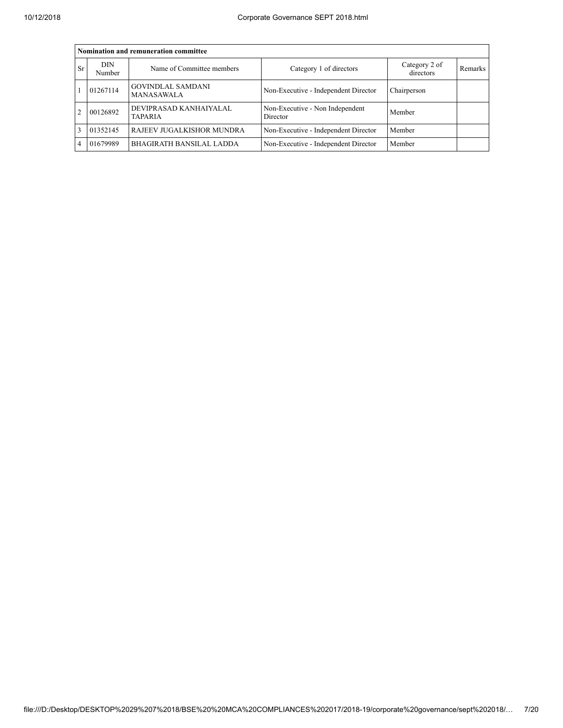|           | Nomination and remuneration committee |                                               |                                             |                            |         |  |  |  |  |  |  |
|-----------|---------------------------------------|-----------------------------------------------|---------------------------------------------|----------------------------|---------|--|--|--|--|--|--|
| <b>Sr</b> | DIN<br>Number                         | Name of Committee members                     | Category 1 of directors                     | Category 2 of<br>directors | Remarks |  |  |  |  |  |  |
|           | 01267114                              | <b>GOVINDLAL SAMDANI</b><br><b>MANASAWALA</b> | Non-Executive - Independent Director        | Chairperson                |         |  |  |  |  |  |  |
|           | 00126892                              | DEVIPRASAD KANHAIYALAL<br><b>TAPARIA</b>      | Non-Executive - Non Independent<br>Director | Member                     |         |  |  |  |  |  |  |
|           | 01352145                              | RAJEEV JUGALKISHOR MUNDRA                     | Non-Executive - Independent Director        | Member                     |         |  |  |  |  |  |  |
|           | 01679989                              | <b>BHAGIRATH BANSILAL LADDA</b>               | Non-Executive - Independent Director        | Member                     |         |  |  |  |  |  |  |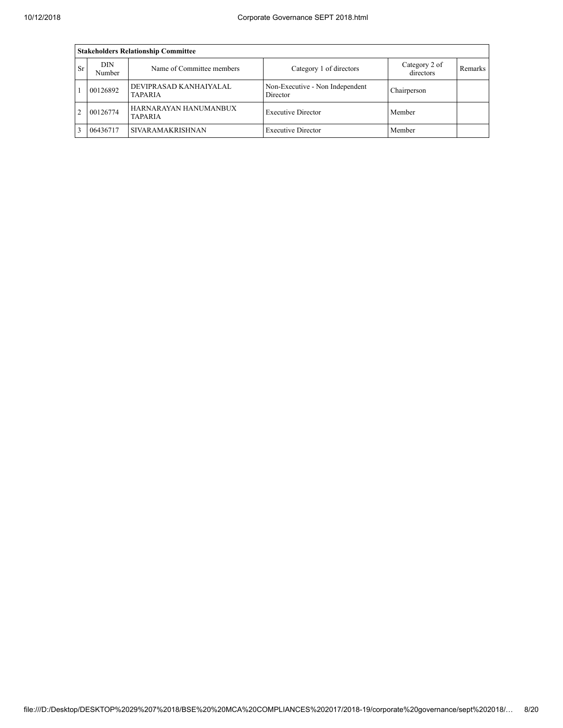|    | <b>Stakeholders Relationship Committee</b> |                                   |                                             |                            |         |  |  |  |  |  |  |
|----|--------------------------------------------|-----------------------------------|---------------------------------------------|----------------------------|---------|--|--|--|--|--|--|
| Sr | DIN<br>Number                              | Name of Committee members         | Category 1 of directors                     | Category 2 of<br>directors | Remarks |  |  |  |  |  |  |
|    | 00126892                                   | DEVIPRASAD KANHAIYALAL<br>TAPARIA | Non-Executive - Non Independent<br>Director | Chairperson                |         |  |  |  |  |  |  |
| 2  | 00126774                                   | HARNARAYAN HANUMANBUX<br>TAPARIA  | <b>Executive Director</b>                   | Member                     |         |  |  |  |  |  |  |
|    | 06436717                                   | <b>SIVARAMAKRISHNAN</b>           | <b>Executive Director</b>                   | Member                     |         |  |  |  |  |  |  |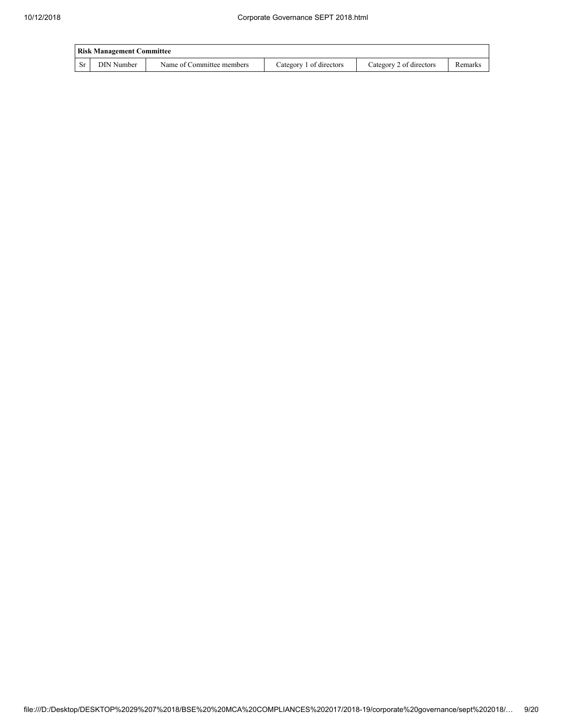|     | <b>Risk Management Committee</b> |                           |                         |                         |         |  |  |  |  |  |
|-----|----------------------------------|---------------------------|-------------------------|-------------------------|---------|--|--|--|--|--|
| Sr. | DIN Number                       | Name of Committee members | Category 1 of directors | Category 2 of directors | Remarks |  |  |  |  |  |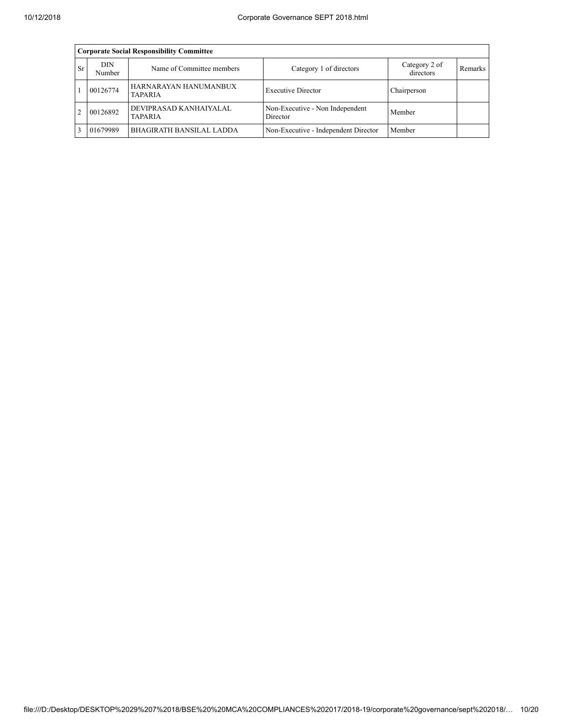|                | <b>Corporate Social Responsibility Committee</b> |                                          |                                             |                            |                |  |  |  |  |  |  |  |
|----------------|--------------------------------------------------|------------------------------------------|---------------------------------------------|----------------------------|----------------|--|--|--|--|--|--|--|
| Sr             | DIN<br>Number                                    | Name of Committee members                | Category 1 of directors                     | Category 2 of<br>directors | <b>Remarks</b> |  |  |  |  |  |  |  |
|                | 00126774                                         | HARNARAYAN HANUMANBUX<br><b>TAPARIA</b>  | <b>Executive Director</b>                   | Chairperson                |                |  |  |  |  |  |  |  |
| $\mathfrak{D}$ | 00126892                                         | DEVIPRASAD KANHAIYALAL<br><b>TAPARIA</b> | Non-Executive - Non Independent<br>Director | Member                     |                |  |  |  |  |  |  |  |
| 3              | 01679989                                         | BHAGIRATH BANSILAL LADDA                 | Non-Executive - Independent Director        | Member                     |                |  |  |  |  |  |  |  |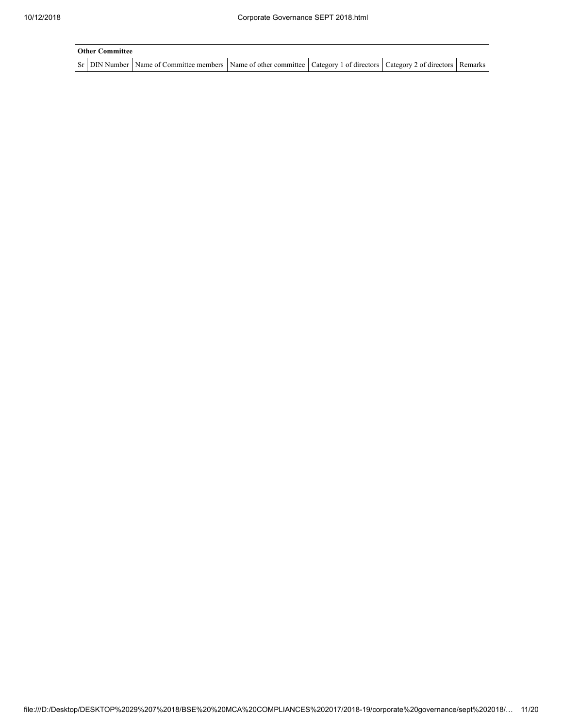| <b>Other Committee</b> |                                                                                                                                     |  |  |
|------------------------|-------------------------------------------------------------------------------------------------------------------------------------|--|--|
|                        | Sr   DIN Number   Name of Committee members   Name of other committee   Category 1 of directors   Category 2 of directors   Remarks |  |  |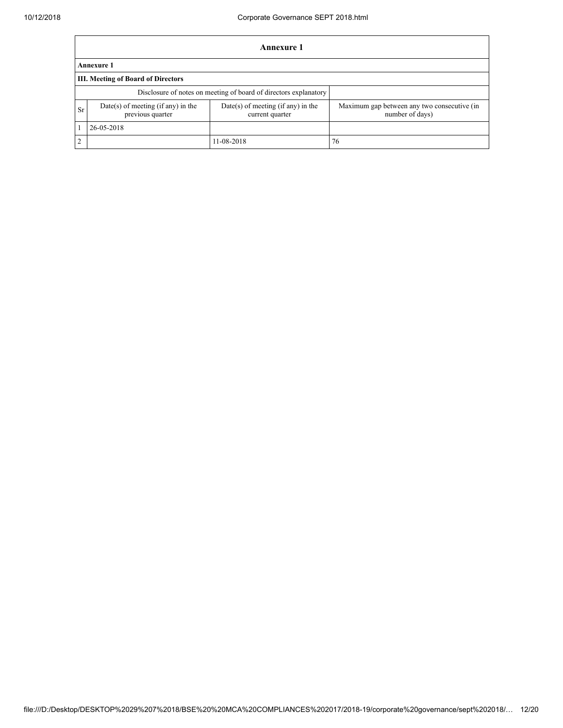|               | Annexure 1                                                       |                                                         |                                                                |  |  |  |  |  |  |
|---------------|------------------------------------------------------------------|---------------------------------------------------------|----------------------------------------------------------------|--|--|--|--|--|--|
|               | Annexure 1                                                       |                                                         |                                                                |  |  |  |  |  |  |
|               | III. Meeting of Board of Directors                               |                                                         |                                                                |  |  |  |  |  |  |
|               | Disclosure of notes on meeting of board of directors explanatory |                                                         |                                                                |  |  |  |  |  |  |
| Sr            | Date(s) of meeting (if any) in the<br>previous quarter           | $Date(s)$ of meeting (if any) in the<br>current quarter | Maximum gap between any two consecutive (in<br>number of days) |  |  |  |  |  |  |
|               | 26-05-2018                                                       |                                                         |                                                                |  |  |  |  |  |  |
| $\mathcal{L}$ |                                                                  | 11-08-2018                                              | 76                                                             |  |  |  |  |  |  |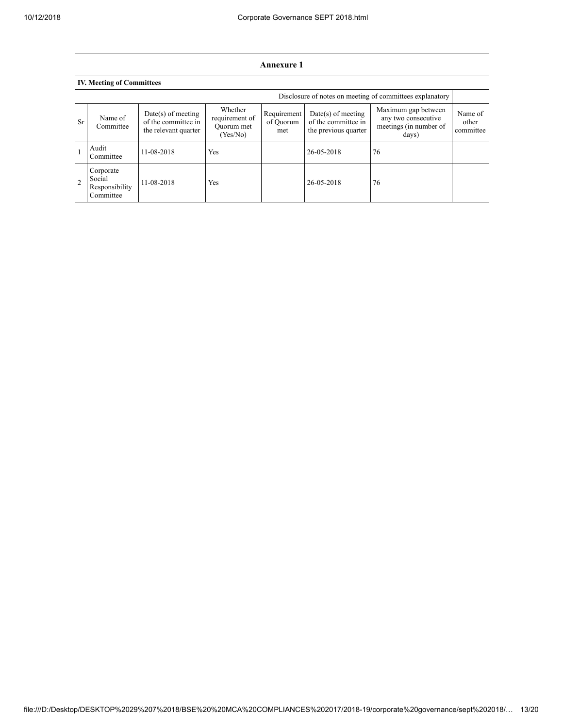|    | Annexure 1                                               |                                                                     |                                                     |                                 |                                                                     |                                                                               |                               |
|----|----------------------------------------------------------|---------------------------------------------------------------------|-----------------------------------------------------|---------------------------------|---------------------------------------------------------------------|-------------------------------------------------------------------------------|-------------------------------|
|    | <b>IV. Meeting of Committees</b>                         |                                                                     |                                                     |                                 |                                                                     |                                                                               |                               |
|    | Disclosure of notes on meeting of committees explanatory |                                                                     |                                                     |                                 |                                                                     |                                                                               |                               |
| Sr | Name of<br>Committee                                     | $Date(s)$ of meeting<br>of the committee in<br>the relevant quarter | Whether<br>requirement of<br>Quorum met<br>(Yes/No) | Requirement<br>of Quorum<br>met | $Date(s)$ of meeting<br>of the committee in<br>the previous quarter | Maximum gap between<br>any two consecutive<br>meetings (in number of<br>days) | Name of<br>other<br>committee |
|    | Audit<br>Committee                                       | 11-08-2018                                                          | Yes                                                 |                                 | 26-05-2018                                                          | 76                                                                            |                               |
| 2  | Corporate<br>Social<br>Responsibility<br>Committee       | 11-08-2018                                                          | Yes                                                 |                                 | 26-05-2018                                                          | 76                                                                            |                               |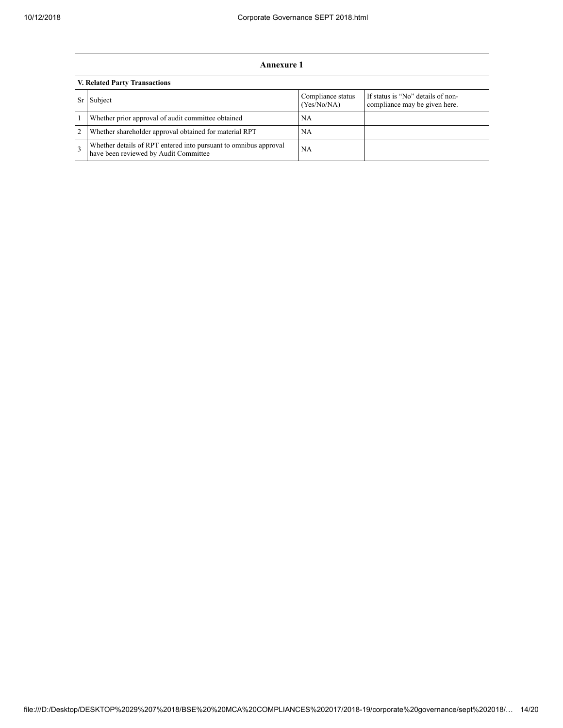|   | Annexure 1                                                                                                |                                  |                                                                    |  |
|---|-----------------------------------------------------------------------------------------------------------|----------------------------------|--------------------------------------------------------------------|--|
|   | V. Related Party Transactions                                                                             |                                  |                                                                    |  |
|   | Subject                                                                                                   | Compliance status<br>(Yes/No/NA) | If status is "No" details of non-<br>compliance may be given here. |  |
|   | Whether prior approval of audit committee obtained                                                        | <b>NA</b>                        |                                                                    |  |
| 2 | Whether shareholder approval obtained for material RPT                                                    | NA.                              |                                                                    |  |
| 3 | Whether details of RPT entered into pursuant to omnibus approval<br>have been reviewed by Audit Committee | <b>NA</b>                        |                                                                    |  |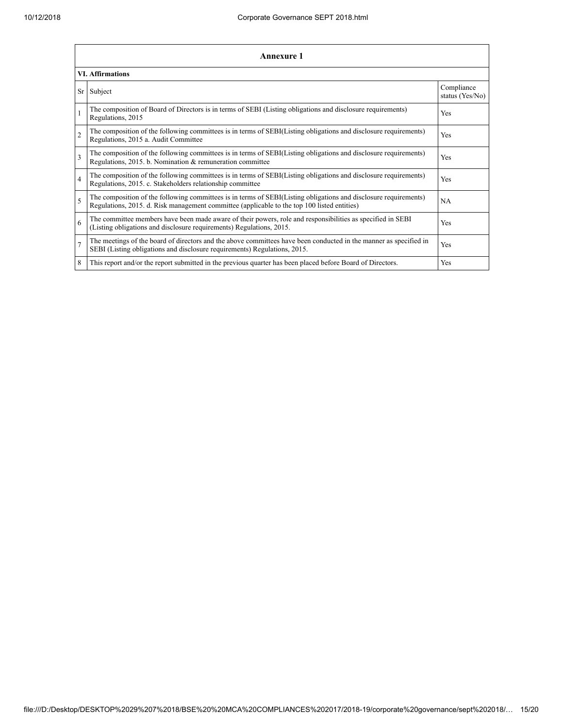|                          | Annexure 1                                                                                                                                                                                                      |                               |  |  |
|--------------------------|-----------------------------------------------------------------------------------------------------------------------------------------------------------------------------------------------------------------|-------------------------------|--|--|
|                          | <b>VI. Affirmations</b>                                                                                                                                                                                         |                               |  |  |
| Sr                       | Subject                                                                                                                                                                                                         | Compliance<br>status (Yes/No) |  |  |
| 1                        | The composition of Board of Directors is in terms of SEBI (Listing obligations and disclosure requirements)<br>Regulations, 2015                                                                                | Yes                           |  |  |
| $\overline{c}$           | The composition of the following committees is in terms of SEBI(Listing obligations and disclosure requirements)<br>Regulations, 2015 a. Audit Committee                                                        | Yes                           |  |  |
| 3                        | The composition of the following committees is in terms of SEBI(Listing obligations and disclosure requirements)<br>Regulations, 2015. b. Nomination & remuneration committee                                   | Yes                           |  |  |
| 4                        | The composition of the following committees is in terms of SEBI(Listing obligations and disclosure requirements)<br>Regulations, 2015. c. Stakeholders relationship committee                                   | Yes                           |  |  |
| $\overline{\phantom{0}}$ | The composition of the following committees is in terms of SEBI(Listing obligations and disclosure requirements)<br>Regulations, 2015. d. Risk management committee (applicable to the top 100 listed entities) | <b>NA</b>                     |  |  |
| 6                        | The committee members have been made aware of their powers, role and responsibilities as specified in SEBI<br>(Listing obligations and disclosure requirements) Regulations, 2015.                              | Yes                           |  |  |
| $\overline{7}$           | The meetings of the board of directors and the above committees have been conducted in the manner as specified in<br>SEBI (Listing obligations and disclosure requirements) Regulations, 2015.                  | Yes                           |  |  |
| 8                        | This report and/or the report submitted in the previous quarter has been placed before Board of Directors.                                                                                                      | Yes                           |  |  |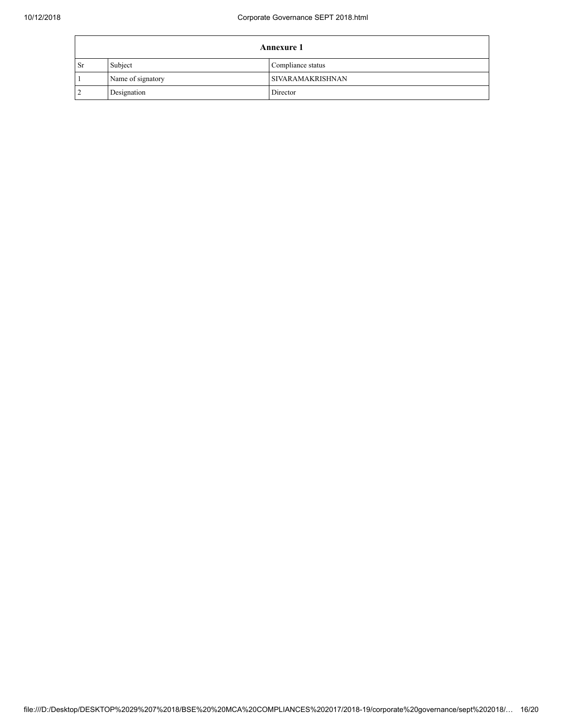| <b>Annexure 1</b> |                   |                         |
|-------------------|-------------------|-------------------------|
| <b>Sr</b>         | Subject           | Compliance status       |
|                   | Name of signatory | <b>SIVARAMAKRISHNAN</b> |
|                   | Designation       | Director                |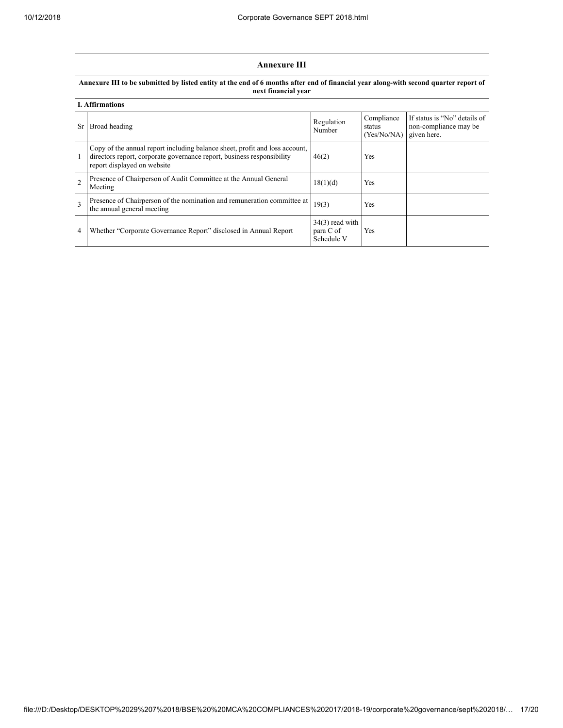$\mathbf{r}$ 

|                | <b>Annexure III</b>                                                                                                                                                                  |                                              |                                     |                                                                      |  |
|----------------|--------------------------------------------------------------------------------------------------------------------------------------------------------------------------------------|----------------------------------------------|-------------------------------------|----------------------------------------------------------------------|--|
|                | Annexure III to be submitted by listed entity at the end of 6 months after end of financial year along-with second quarter report of<br>next financial year                          |                                              |                                     |                                                                      |  |
|                | <b>I.</b> Affirmations                                                                                                                                                               |                                              |                                     |                                                                      |  |
| Sr             | Broad heading                                                                                                                                                                        | Regulation<br>Number                         | Compliance<br>status<br>(Yes/No/NA) | If status is "No" details of<br>non-compliance may be<br>given here. |  |
|                | Copy of the annual report including balance sheet, profit and loss account,<br>directors report, corporate governance report, business responsibility<br>report displayed on website | 46(2)                                        | <b>Yes</b>                          |                                                                      |  |
| $\overline{2}$ | Presence of Chairperson of Audit Committee at the Annual General<br>Meeting                                                                                                          | 18(1)(d)                                     | Yes                                 |                                                                      |  |
| $\mathbf{3}$   | Presence of Chairperson of the nomination and remuneration committee at<br>the annual general meeting                                                                                | 19(3)                                        | <b>Yes</b>                          |                                                                      |  |
| 4              | Whether "Corporate Governance Report" disclosed in Annual Report                                                                                                                     | $34(3)$ read with<br>para C of<br>Schedule V | Yes                                 |                                                                      |  |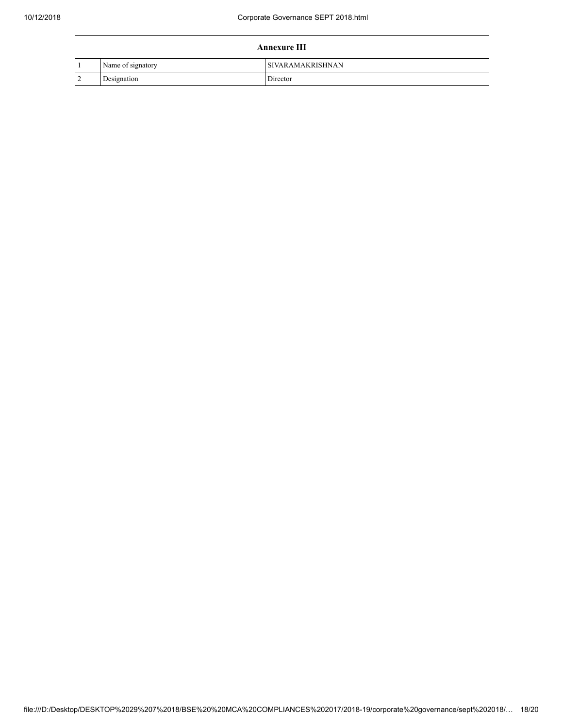| <b>Annexure III</b> |                         |  |
|---------------------|-------------------------|--|
| Name of signatory   | <b>SIVARAMAKRISHNAN</b> |  |
| Designation         | Director                |  |